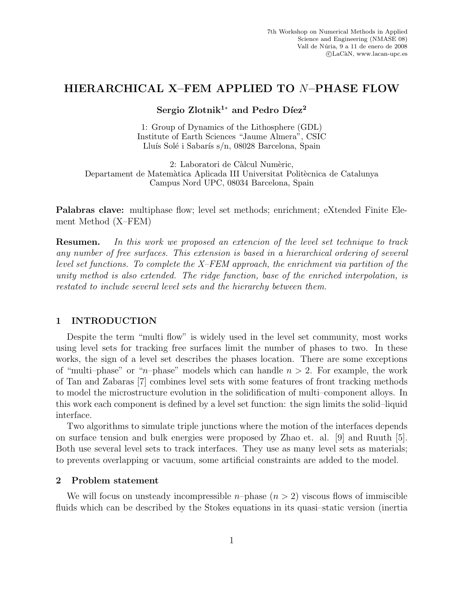# **HIERARCHICAL X–FEM APPLIED TO** N**–PHASE FLOW**

Sergio Zlotnik<sup>1∗</sup> and Pedro Díez<sup>2</sup>

1: Group of Dynamics of the Lithosphere (GDL) Institute of Earth Sciences "Jaume Almera", CSIC Lluís Solé i Sabarís s/n, 08028 Barcelona, Spain

2: Laboratori de Càlcul Numèric, Departament de Matemàtica Aplicada III Universitat Politècnica de Catalunya Campus Nord UPC, 08034 Barcelona, Spain

**Palabras clave:** multiphase flow; level set methods; enrichment; eXtended Finite Element Method (X–FEM)

**Resumen.** *In this work we proposed an extencion of the level set technique to track any number of free surfaces. This extension is based in a hierarchical ordering of several level set functions. To complete the X–FEM approach, the enrichment via partition of the unity method is also extended. The ridge function, base of the enriched interpolation, is restated to include several level sets and the hierarchy between them.*

# **1 INTRODUCTION**

Despite the term "multi flow" is widely used in the level set community, most works using level sets for tracking free surfaces limit the number of phases to two. In these works, the sign of a level set describes the phases location. There are some exceptions of "multi-phase" or "n-phase" models which can handle  $n > 2$ . For example, the work of Tan and Zabaras [7] combines level sets with some features of front tracking methods to model the microstructure evolution in the solidification of multi–component alloys. In this work each component is defined by a level set function: the sign limits the solid–liquid interface.

Two algorithms to simulate triple junctions where the motion of the interfaces depends on surface tension and bulk energies were proposed by Zhao et. al. [9] and Ruuth [5]. Both use several level sets to track interfaces. They use as many level sets as materials; to prevents overlapping or vacuum, some artificial constraints are added to the model.

### **2 Problem statement**

We will focus on unsteady incompressible  $n$ –phase  $(n > 2)$  viscous flows of immiscible fluids which can be described by the Stokes equations in its quasi–static version (inertia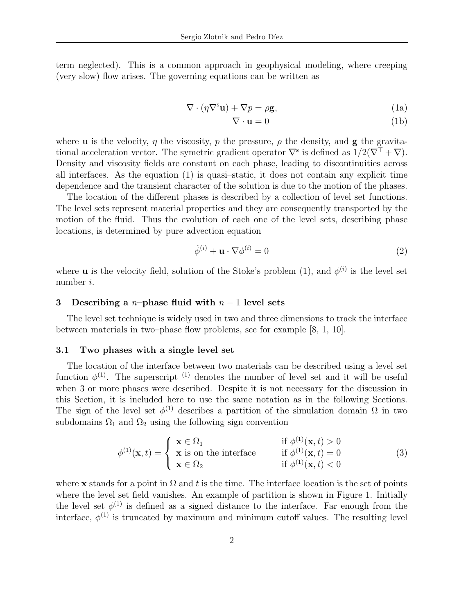term neglected). This is a common approach in geophysical modeling, where creeping (very slow) flow arises. The governing equations can be written as

$$
\nabla \cdot (\eta \nabla^s \mathbf{u}) + \nabla p = \rho \mathbf{g},\tag{1a}
$$

$$
\nabla \cdot \mathbf{u} = 0 \tag{1b}
$$

where **u** is the velocity,  $\eta$  the viscosity,  $p$  the pressure,  $\rho$  the density, and **g** the gravitational acceleration vector. The symetric gradient operator  $\nabla^s$  is defined as  $1/2(\nabla^{\top} + \nabla)$ . Density and viscosity fields are constant on each phase, leading to discontinuities across all interfaces. As the equation (1) is quasi–static, it does not contain any explicit time dependence and the transient character of the solution is due to the motion of the phases.

The location of the different phases is described by a collection of level set functions. The level sets represent material properties and they are consequently transported by the motion of the fluid. Thus the evolution of each one of the level sets, describing phase locations, is determined by pure advection equation

$$
\dot{\phi}^{(i)} + \mathbf{u} \cdot \nabla \phi^{(i)} = 0 \tag{2}
$$

where **u** is the velocity field, solution of the Stoke's problem (1), and  $\phi^{(i)}$  is the level set number i.

### **3 Describing a** n**–phase fluid with** n − 1 **level sets**

The level set technique is widely used in two and three dimensions to track the interface between materials in two–phase flow problems, see for example [8, 1, 10].

### **3.1 Two phases with a single level set**

The location of the interface between two materials can be described using a level set function  $\phi^{(1)}$ . The superscript <sup>(1)</sup> denotes the number of level set and it will be useful when 3 or more phases were described. Despite it is not necessary for the discussion in this Section, it is included here to use the same notation as in the following Sections. The sign of the level set  $\phi^{(1)}$  describes a partition of the simulation domain  $\Omega$  in two subdomains  $\Omega_1$  and  $\Omega_2$  using the following sign convention

$$
\phi^{(1)}(\mathbf{x},t) = \begin{cases} \n\mathbf{x} \in \Omega_1 & \text{if } \phi^{(1)}(\mathbf{x},t) > 0 \\ \n\mathbf{x} \text{ is on the interface} & \text{if } \phi^{(1)}(\mathbf{x},t) = 0 \\ \n\mathbf{x} \in \Omega_2 & \text{if } \phi^{(1)}(\mathbf{x},t) < 0 \n\end{cases} \tag{3}
$$

where **x** stands for a point in  $\Omega$  and t is the time. The interface location is the set of points where the level set field vanishes. An example of partition is shown in Figure 1. Initially the level set  $\phi^{(1)}$  is defined as a signed distance to the interface. Far enough from the interface,  $\phi^{(1)}$  is truncated by maximum and minimum cutoff values. The resulting level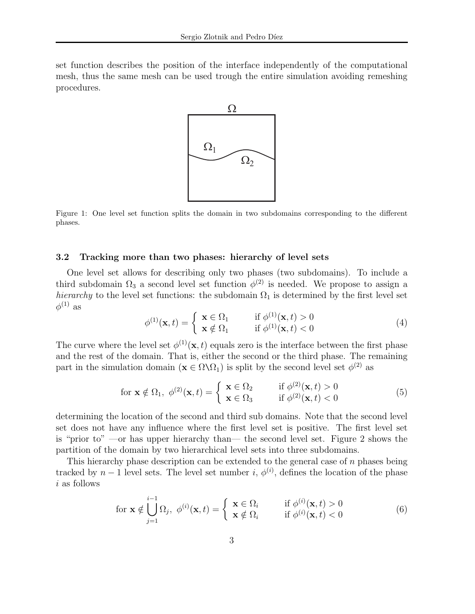set function describes the position of the interface independently of the computational mesh, thus the same mesh can be used trough the entire simulation avoiding remeshing procedures.



Figure 1: One level set function splits the domain in two subdomains corresponding to the different phases.

#### **3.2 Tracking more than two phases: hierarchy of level sets**

One level set allows for describing only two phases (two subdomains). To include a third subdomain  $\Omega_3$  a second level set function  $\phi^{(2)}$  is needed. We propose to assign a *hierarchy* to the level set functions: the subdomain  $\Omega_1$  is determined by the first level set  $\phi^{(1)}$  as

$$
\phi^{(1)}(\mathbf{x},t) = \begin{cases} \n\mathbf{x} \in \Omega_1 & \text{if } \phi^{(1)}(\mathbf{x},t) > 0 \\
\mathbf{x} \notin \Omega_1 & \text{if } \phi^{(1)}(\mathbf{x},t) < 0\n\end{cases} \tag{4}
$$

The curve where the level set  $\phi^{(1)}(\mathbf{x}, t)$  equals zero is the interface between the first phase and the rest of the domain. That is, either the second or the third phase. The remaining part in the simulation domain  $(\mathbf{x} \in \Omega \setminus \Omega_1)$  is split by the second level set  $\phi^{(2)}$  as

$$
\text{for } \mathbf{x} \notin \Omega_1, \ \phi^{(2)}(\mathbf{x}, t) = \begin{cases} \n\mathbf{x} \in \Omega_2 & \text{if } \phi^{(2)}(\mathbf{x}, t) > 0 \\ \n\mathbf{x} \in \Omega_3 & \text{if } \phi^{(2)}(\mathbf{x}, t) < 0 \n\end{cases} \tag{5}
$$

determining the location of the second and third sub domains. Note that the second level set does not have any influence where the first level set is positive. The first level set is "prior to" —or has upper hierarchy than— the second level set. Figure 2 shows the partition of the domain by two hierarchical level sets into three subdomains.

This hierarchy phase description can be extended to the general case of  $n$  phases being tracked by  $n-1$  level sets. The level set number i,  $\phi^{(i)}$ , defines the location of the phase i as follows

$$
\text{for } \mathbf{x} \notin \bigcup_{j=1}^{i-1} \Omega_j, \ \phi^{(i)}(\mathbf{x}, t) = \begin{cases} \mathbf{x} \in \Omega_i & \text{if } \phi^{(i)}(\mathbf{x}, t) > 0 \\ \mathbf{x} \notin \Omega_i & \text{if } \phi^{(i)}(\mathbf{x}, t) < 0 \end{cases} \tag{6}
$$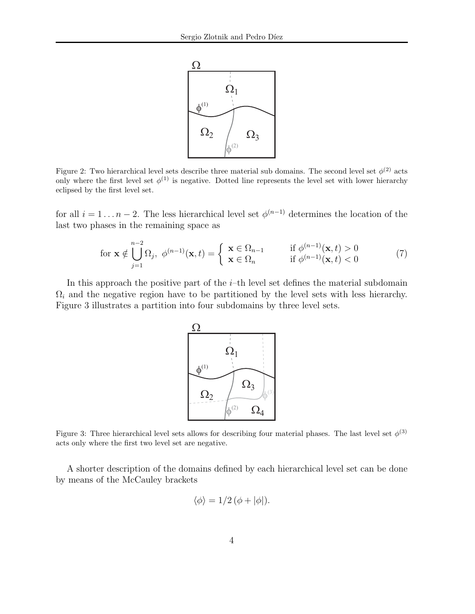

Figure 2: Two hierarchical level sets describe three material sub domains. The second level set  $\phi^{(2)}$  acts only where the first level set  $\phi^{(1)}$  is negative. Dotted line represents the level set with lower hierarchy eclipsed by the first level set.

for all  $i = 1 \ldots n-2$ . The less hierarchical level set  $\phi^{(n-1)}$  determines the location of the last two phases in the remaining space as

$$
\text{for } \mathbf{x} \notin \bigcup_{j=1}^{n-2} \Omega_j, \ \phi^{(n-1)}(\mathbf{x}, t) = \begin{cases} \ \mathbf{x} \in \Omega_{n-1} & \text{if } \phi^{(n-1)}(\mathbf{x}, t) > 0 \\ \ \mathbf{x} \in \Omega_n & \text{if } \phi^{(n-1)}(\mathbf{x}, t) < 0 \end{cases} \tag{7}
$$

In this approach the positive part of the  $i$ –th level set defines the material subdomain  $\Omega_i$  and the negative region have to be partitioned by the level sets with less hierarchy. Figure 3 illustrates a partition into four subdomains by three level sets.



Figure 3: Three hierarchical level sets allows for describing four material phases. The last level set  $\phi^{(3)}$ acts only where the first two level set are negative.

A shorter description of the domains defined by each hierarchical level set can be done by means of the McCauley brackets

$$
\langle \phi \rangle = 1/2 \left( \phi + |\phi| \right).
$$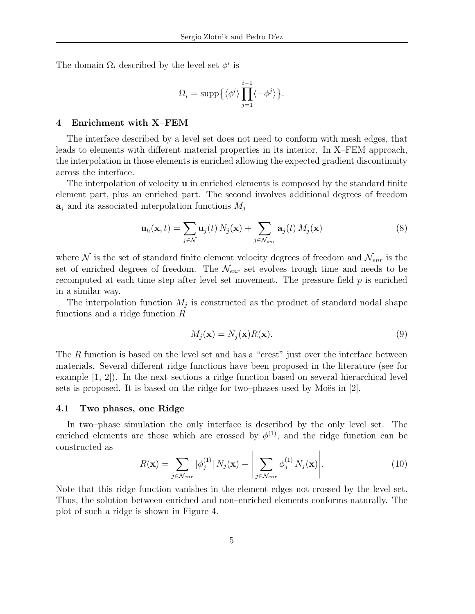The domain  $\Omega_i$  described by the level set  $\phi^i$  is

$$
\Omega_i = \mathrm{supp}\Big\{\langle \phi^i \rangle \prod_{j=1}^{i-1} \langle -\phi^j \rangle \Big\}.
$$

#### **4 Enrichment with X–FEM**

The interface described by a level set does not need to conform with mesh edges, that leads to elements with different material properties in its interior. In X–FEM approach, the interpolation in those elements is enriched allowing the expected gradient discontinuity across the interface.

The interpolation of velocity **u** in enriched elements is composed by the standard finite element part, plus an enriched part. The second involves additional degrees of freedom  $a_j$  and its associated interpolation functions  $M_j$ 

$$
\mathbf{u}_{h}(\mathbf{x},t) = \sum_{j \in \mathcal{N}} \mathbf{u}_{j}(t) N_{j}(\mathbf{x}) + \sum_{j \in \mathcal{N}_{enr}} \mathbf{a}_{j}(t) M_{j}(\mathbf{x})
$$
(8)

where  $\mathcal N$  is the set of standard finite element velocity degrees of freedom and  $\mathcal N_{enr}$  is the set of enriched degrees of freedom. The  $\mathcal{N}_{enr}$  set evolves trough time and needs to be recomputed at each time step after level set movement. The pressure field  $p$  is enriched in a similar way.

The interpolation function  $M_j$  is constructed as the product of standard nodal shape functions and a ridge function R

$$
M_j(\mathbf{x}) = N_j(\mathbf{x})R(\mathbf{x}).\tag{9}
$$

The R function is based on the level set and has a "crest" just over the interface between materials. Several different ridge functions have been proposed in the literature (see for example [1, 2]). In the next sections a ridge function based on several hierarchical level sets is proposed. It is based on the ridge for two–phases used by Moës in  $[2]$ .

### **4.1 Two phases, one Ridge**

In two–phase simulation the only interface is described by the only level set. The enriched elements are those which are crossed by  $\phi^{(1)}$ , and the ridge function can be constructed as  $\overline{1}$  $\overline{1}$ 

$$
R(\mathbf{x}) = \sum_{j \in \mathcal{N}_{enr}} |\phi_j^{(1)}| N_j(\mathbf{x}) - \left| \sum_{j \in \mathcal{N}_{enr}} \phi_j^{(1)} N_j(\mathbf{x}) \right|.
$$
 (10)

Note that this ridge function vanishes in the element edges not crossed by the level set. Thus, the solution between enriched and non–enriched elements conforms naturally. The plot of such a ridge is shown in Figure 4.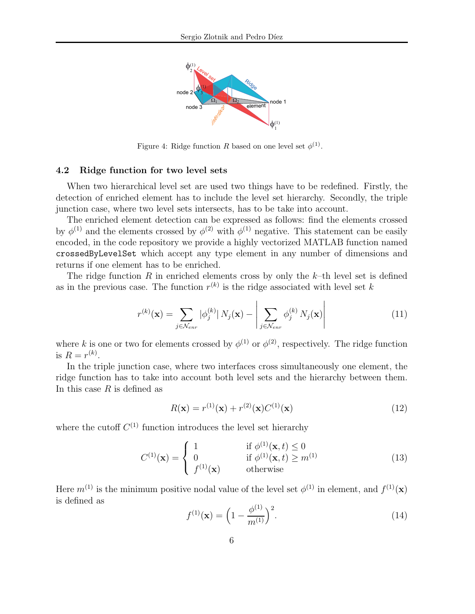

Figure 4: Ridge function R based on one level set  $\phi^{(1)}$ .

#### **4.2 Ridge function for two level sets**

When two hierarchical level set are used two things have to be redefined. Firstly, the detection of enriched element has to include the level set hierarchy. Secondly, the triple junction case, where two level sets intersects, has to be take into account.

The enriched element detection can be expressed as follows: find the elements crossed by  $\phi^{(1)}$  and the elements crossed by  $\phi^{(2)}$  with  $\phi^{(1)}$  negative. This statement can be easily encoded, in the code repository we provide a highly vectorized MATLAB function named crossedByLevelSet which accept any type element in any number of dimensions and returns if one element has to be enriched.

The ridge function  $R$  in enriched elements cross by only the  $k$ -th level set is defined as in the previous case. The function  $r^{(k)}$  is the ridge associated with level set k

$$
r^{(k)}(\mathbf{x}) = \sum_{j \in \mathcal{N}_{enr}} |\phi_j^{(k)}| N_j(\mathbf{x}) - \left| \sum_{j \in \mathcal{N}_{enr}} \phi_j^{(k)} N_j(\mathbf{x}) \right| \tag{11}
$$

where k is one or two for elements crossed by  $\phi^{(1)}$  or  $\phi^{(2)}$ , respectively. The ridge function is  $R = r^{(k)}$ .

In the triple junction case, where two interfaces cross simultaneously one element, the ridge function has to take into account both level sets and the hierarchy between them. In this case  $R$  is defined as

$$
R(\mathbf{x}) = r^{(1)}(\mathbf{x}) + r^{(2)}(\mathbf{x})C^{(1)}(\mathbf{x})
$$
\n(12)

where the cutoff  $C^{(1)}$  function introduces the level set hierarchy

$$
C^{(1)}(\mathbf{x}) = \begin{cases} 1 & \text{if } \phi^{(1)}(\mathbf{x}, t) \le 0 \\ 0 & \text{if } \phi^{(1)}(\mathbf{x}, t) \ge m^{(1)} \\ f^{(1)}(\mathbf{x}) & \text{otherwise} \end{cases}
$$
(13)

Here  $m^{(1)}$  is the minimum positive nodal value of the level set  $\phi^{(1)}$  in element, and  $f^{(1)}(\mathbf{x})$ is defined as

$$
f^{(1)}(\mathbf{x}) = \left(1 - \frac{\phi^{(1)}}{m^{(1)}}\right)^2.
$$
 (14)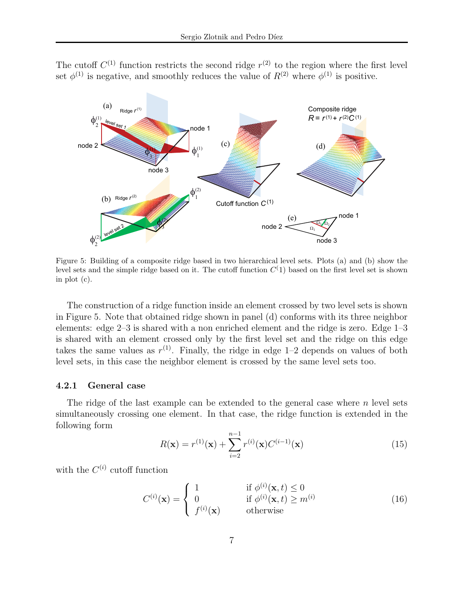The cutoff  $C^{(1)}$  function restricts the second ridge  $r^{(2)}$  to the region where the first level set  $\phi^{(1)}$  is negative, and smoothly reduces the value of  $R^{(2)}$  where  $\phi^{(1)}$  is positive.



Figure 5: Building of a composite ridge based in two hierarchical level sets. Plots (a) and (b) show the level sets and the simple ridge based on it. The cutoff function  $C(1)$  based on the first level set is shown in plot (c).

The construction of a ridge function inside an element crossed by two level sets is shown in Figure 5. Note that obtained ridge shown in panel (d) conforms with its three neighbor elements: edge 2–3 is shared with a non enriched element and the ridge is zero. Edge 1–3 is shared with an element crossed only by the first level set and the ridge on this edge takes the same values as  $r^{(1)}$ . Finally, the ridge in edge 1–2 depends on values of both level sets, in this case the neighbor element is crossed by the same level sets too.

#### **4.2.1 General case**

The ridge of the last example can be extended to the general case where  $n$  level sets simultaneously crossing one element. In that case, the ridge function is extended in the following form

$$
R(\mathbf{x}) = r^{(1)}(\mathbf{x}) + \sum_{i=2}^{n-1} r^{(i)}(\mathbf{x}) C^{(i-1)}(\mathbf{x})
$$
\n(15)

with the  $C^{(i)}$  cutoff function

$$
C^{(i)}(\mathbf{x}) = \begin{cases} 1 & \text{if } \phi^{(i)}(\mathbf{x}, t) \le 0 \\ 0 & \text{if } \phi^{(i)}(\mathbf{x}, t) \ge m^{(i)} \\ f^{(i)}(\mathbf{x}) & \text{otherwise} \end{cases}
$$
(16)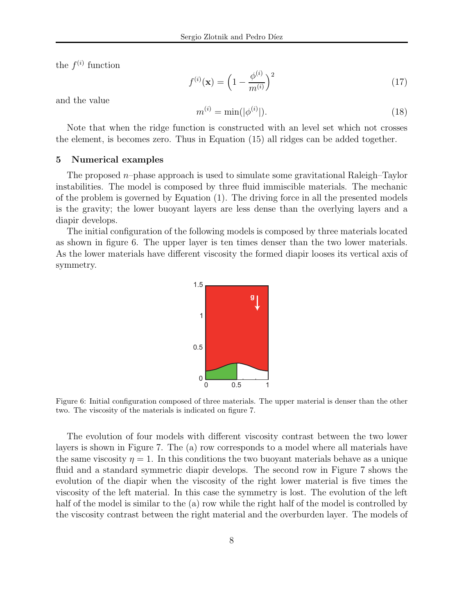the  $f^{(i)}$  function

$$
f^{(i)}(\mathbf{x}) = \left(1 - \frac{\phi^{(i)}}{m^{(i)}}\right)^2 \tag{17}
$$

and the value

$$
m^{(i)} = \min(|\phi^{(i)}|). \tag{18}
$$

Note that when the ridge function is constructed with an level set which not crosses the element, is becomes zero. Thus in Equation (15) all ridges can be added together.

### **5 Numerical examples**

The proposed  $n$ –phase approach is used to simulate some gravitational Raleigh–Taylor instabilities. The model is composed by three fluid immiscible materials. The mechanic of the problem is governed by Equation (1). The driving force in all the presented models is the gravity; the lower buoyant layers are less dense than the overlying layers and a diapir develops.

The initial configuration of the following models is composed by three materials located as shown in figure 6. The upper layer is ten times denser than the two lower materials. As the lower materials have different viscosity the formed diapir looses its vertical axis of symmetry.



Figure 6: Initial configuration composed of three materials. The upper material is denser than the other two. The viscosity of the materials is indicated on figure 7.

The evolution of four models with different viscosity contrast between the two lower layers is shown in Figure 7. The (a) row corresponds to a model where all materials have the same viscosity  $\eta = 1$ . In this conditions the two buoyant materials behave as a unique fluid and a standard symmetric diapir develops. The second row in Figure 7 shows the evolution of the diapir when the viscosity of the right lower material is five times the viscosity of the left material. In this case the symmetry is lost. The evolution of the left half of the model is similar to the (a) row while the right half of the model is controlled by the viscosity contrast between the right material and the overburden layer. The models of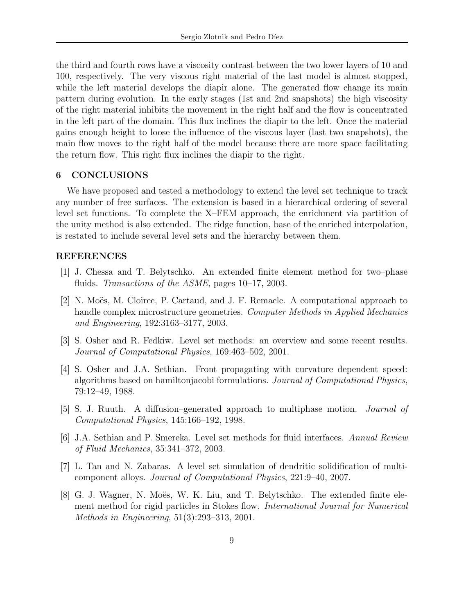the third and fourth rows have a viscosity contrast between the two lower layers of 10 and 100, respectively. The very viscous right material of the last model is almost stopped, while the left material develops the diapir alone. The generated flow change its main pattern during evolution. In the early stages (1st and 2nd snapshots) the high viscosity of the right material inhibits the movement in the right half and the flow is concentrated in the left part of the domain. This flux inclines the diapir to the left. Once the material gains enough height to loose the influence of the viscous layer (last two snapshots), the main flow moves to the right half of the model because there are more space facilitating the return flow. This right flux inclines the diapir to the right.

# **6 CONCLUSIONS**

We have proposed and tested a methodology to extend the level set technique to track any number of free surfaces. The extension is based in a hierarchical ordering of several level set functions. To complete the X–FEM approach, the enrichment via partition of the unity method is also extended. The ridge function, base of the enriched interpolation, is restated to include several level sets and the hierarchy between them.

# **REFERENCES**

- [1] J. Chessa and T. Belytschko. An extended finite element method for two–phase fluids. *Transactions of the ASME*, pages 10–17, 2003.
- [2] N. Moës, M. Cloirec, P. Cartaud, and J. F. Remacle. A computational approach to handle complex microstructure geometries. *Computer Methods in Applied Mechanics and Engineering*, 192:3163–3177, 2003.
- [3] S. Osher and R. Fedkiw. Level set methods: an overview and some recent results. *Journal of Computational Physics*, 169:463–502, 2001.
- [4] S. Osher and J.A. Sethian. Front propagating with curvature dependent speed: algorithms based on hamiltonjacobi formulations. *Journal of Computational Physics*, 79:12–49, 1988.
- [5] S. J. Ruuth. A diffusion–generated approach to multiphase motion. *Journal of Computational Physics*, 145:166–192, 1998.
- [6] J.A. Sethian and P. Smereka. Level set methods for fluid interfaces. *Annual Review of Fluid Mechanics*, 35:341–372, 2003.
- [7] L. Tan and N. Zabaras. A level set simulation of dendritic solidification of multicomponent alloys. *Journal of Computational Physics*, 221:9–40, 2007.
- [8] G. J. Wagner, N. Moës, W. K. Liu, and T. Belytschko. The extended finite element method for rigid particles in Stokes flow. *International Journal for Numerical Methods in Engineering*, 51(3):293–313, 2001.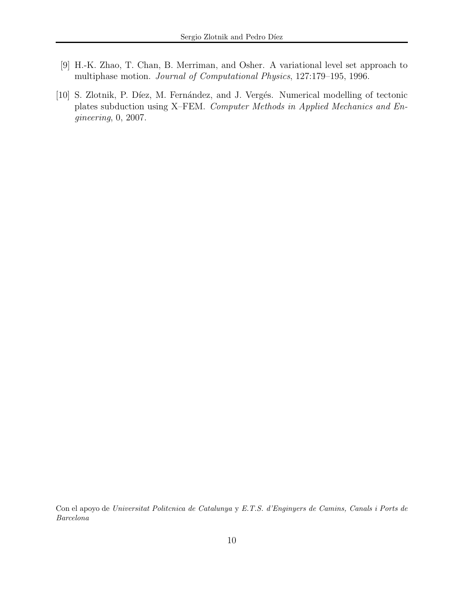- [9] H.-K. Zhao, T. Chan, B. Merriman, and Osher. A variational level set approach to multiphase motion. *Journal of Computational Physics*, 127:179–195, 1996.
- [10] S. Zlotnik, P. Díez, M. Fernández, and J. Vergés. Numerical modelling of tectonic plates subduction using X–FEM. *Computer Methods in Applied Mechanics and Engineering*, 0, 2007.

Con el apoyo de *Universitat Politcnica de Catalunya* y *E.T.S. d'Enginyers de Camins, Canals i Ports de Barcelona*